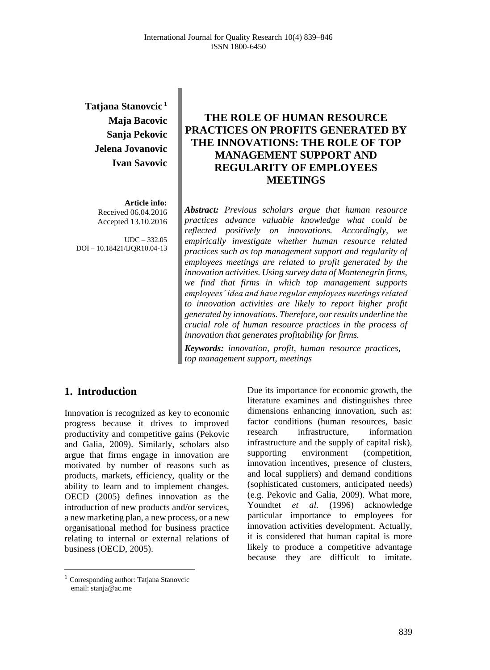# **Tatjana Stanovcic <sup>1</sup> Maja Bacovic Sanja Pekovic Jelena Jovanovic Ivan Savovic**

**Article info:** Received 06.04.2016 Accepted 13.10.2016

UDC – 332.05 DOI – 10.18421/IJQR10.04-13

## **THE ROLE OF HUMAN RESOURCE PRACTICES ON PROFITS GENERATED BY THE INNOVATIONS: THE ROLE OF TOP MANAGEMENT SUPPORT AND REGULARITY OF EMPLOYEES MEETINGS**

*Abstract: Previous scholars argue that human resource practices advance valuable knowledge what could be reflected positively on innovations. Accordingly, we empirically investigate whether human resource related practices such as top management support and regularity of employees meetings are related to profit generated by the innovation activities. Using survey data of Montenegrin firms, we find that firms in which top management supports employees' idea and have regular employees meetings related to innovation activities are likely to report higher profit generated by innovations. Therefore, our results underline the crucial role of human resource practices in the process of innovation that generates profitability for firms.*

*Keywords: innovation, profit, human resource practices, top management support, meetings*

### **1. Introduction<sup>1</sup>**

Innovation is recognized as key to economic progress because it drives to improved productivity and competitive gains (Pekovic and Galia, 2009). Similarly, scholars also argue that firms engage in innovation are motivated by number of reasons such as products, markets, efficiency, quality or the ability to learn and to implement changes. OECD (2005) defines innovation as the introduction of new products and/or services, a new marketing plan, a new process, or a new organisational method for business practice relating to internal or external relations of business (OECD, 2005).

Due its importance for economic growth, the literature examines and distinguishes three dimensions enhancing innovation, such as: factor conditions (human resources, basic research infrastructure, information infrastructure and the supply of capital risk), supporting environment (competition, innovation incentives, presence of clusters, and local suppliers) and demand conditions (sophisticated customers, anticipated needs) (e.g. Pekovic and Galia, 2009). What more, Youndtet *et al.* (1996) acknowledge particular importance to employees for innovation activities development. Actually, it is considered that human capital is more likely to produce a competitive advantage because they are difficult to imitate.

<sup>1</sup> Corresponding author: Tatjana Stanovcic email[: stanja@ac.me](mailto:stanja@ac.me)

 $\overline{a}$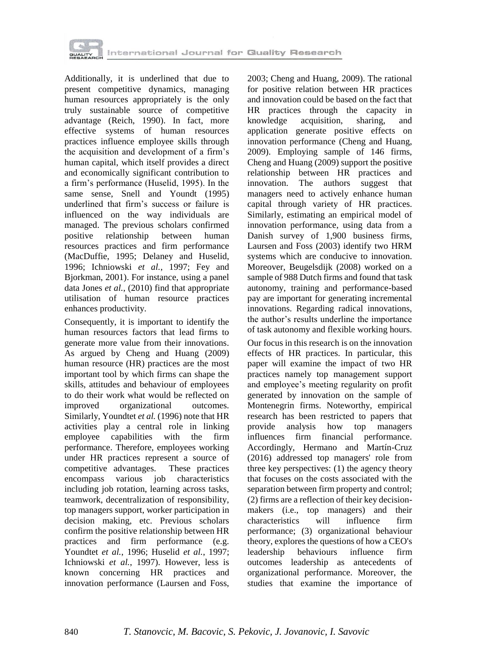

Additionally, it is underlined that due to present competitive dynamics, managing human resources appropriately is the only truly sustainable source of competitive advantage (Reich, 1990). In fact, more effective systems of human resources practices influence employee skills through the acquisition and development of a firm's human capital, which itself provides a direct and economically significant contribution to a firm's performance (Huselid, 1995). In the same sense, Snell and Youndt (1995) underlined that firm's success or failure is influenced on the way individuals are managed. The previous scholars confirmed positive relationship between human resources practices and firm performance (MacDuffie, 1995; Delaney and Huselid, 1996; Ichniowski *et al.*, 1997; Fey and Bjorkman, 2001). For instance, using a panel data Jones *et al.*, (2010) find that appropriate utilisation of human resource practices enhances productivity.

Consequently, it is important to identify the human resources factors that lead firms to generate more value from their innovations. As argued by Cheng and Huang (2009) human resource (HR) practices are the most important tool by which firms can shape the skills, attitudes and behaviour of employees to do their work what would be reflected on improved organizational outcomes. Similarly, Youndtet *et al.* (1996) note that HR activities play a central role in linking employee capabilities with the firm performance. Therefore, employees working under HR practices represent a source of competitive advantages. These practices encompass various job characteristics including job rotation, learning across tasks, teamwork, decentralization of responsibility, top managers support, worker participation in decision making, etc. Previous scholars confirm the positive relationship between HR practices and firm performance (e.g. Youndtet *et al.*, 1996; Huselid *et al.*, 1997; Ichniowski *et al.*, 1997). However, less is known concerning HR practices and innovation performance (Laursen and Foss,

2003; Cheng and Huang, 2009). The rational for positive relation between HR practices and innovation could be based on the fact that HR practices through the capacity in knowledge acquisition, sharing, and application generate positive effects on innovation performance (Cheng and Huang, 2009). Employing sample of 146 firms, Cheng and Huang (2009) support the positive relationship between HR practices and innovation. The authors suggest that managers need to actively enhance human capital through variety of HR practices. Similarly, estimating an empirical model of innovation performance, using data from a Danish survey of 1,900 business firms, Laursen and Foss (2003) identify two HRM systems which are conducive to innovation. Moreover, Beugelsdijk (2008) worked on a sample of 988 Dutch firms and found that task autonomy, training and performance-based pay are important for generating incremental innovations. Regarding radical innovations, the author's results underline the importance of task autonomy and flexible working hours.

Our focus in this research is on the innovation effects of HR practices. In particular, this paper will examine the impact of two HR practices namely top management support and employee's meeting regularity on profit generated by innovation on the sample of Montenegrin firms. Noteworthy, empirical research has been restricted to papers that provide analysis how top managers influences firm financial performance. Accordingly, Hermano and Martín-Cruz (2016) addressed top managers' role from three key perspectives: (1) the agency theory that focuses on the costs associated with the separation between firm property and control; (2) firms are a reflection of their key decisionmakers (i.e., top managers) and their characteristics will influence firm performance; (3) organizational behaviour theory, explores the questions of how a CEO's leadership behaviours influence firm outcomes leadership as antecedents of organizational performance. Moreover, the studies that examine the importance of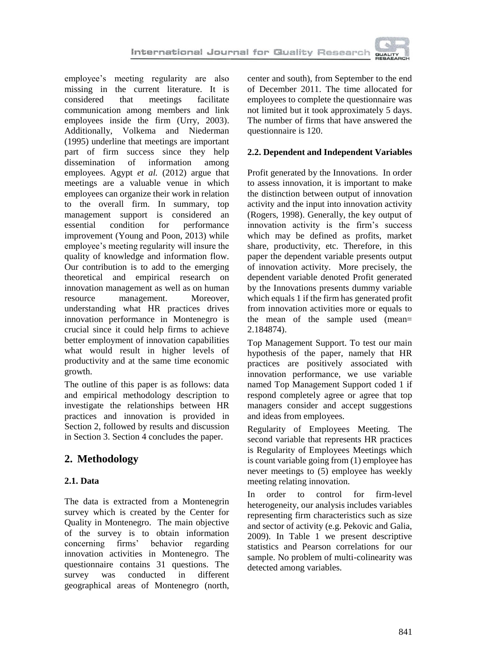

employee's meeting regularity are also missing in the current literature. It is considered that meetings facilitate communication among members and link employees inside the firm (Urry, 2003). Additionally, Volkema and Niederman (1995) underline that meetings are important part of firm success since they help dissemination of information among employees. Agypt *et al.* (2012) argue that meetings are a valuable venue in which employees can organize their work in relation to the overall firm. In summary, top management support is considered an essential condition for performance improvement (Young and Poon, 2013) while employee's meeting regularity will insure the quality of knowledge and information flow. Our contribution is to add to the emerging theoretical and empirical research on innovation management as well as on human resource management. Moreover, understanding what HR practices drives innovation performance in Montenegro is crucial since it could help firms to achieve better employment of innovation capabilities what would result in higher levels of productivity and at the same time economic growth.

The outline of this paper is as follows: data and empirical methodology description to investigate the relationships between HR practices and innovation is provided in Section 2, followed by results and discussion in Section 3. Section 4 concludes the paper.

# **2. Methodology**

### **2.1. Data**

The data is extracted from a Montenegrin survey which is created by the Center for Quality in Montenegro. The main objective of the survey is to obtain information concerning firms' behavior regarding innovation activities in Montenegro. The questionnaire contains 31 questions. The survey was conducted in different geographical areas of Montenegro (north,

center and south), from September to the end of December 2011. The time allocated for employees to complete the questionnaire was not limited but it took approximately 5 days. The number of firms that have answered the questionnaire is 120.

#### **2.2. Dependent and Independent Variables**

Profit generated by the Innovations. In order to assess innovation, it is important to make the distinction between output of innovation activity and the input into innovation activity (Rogers, 1998). Generally, the key output of innovation activity is the firm's success which may be defined as profits, market share, productivity, etc. Therefore, in this paper the dependent variable presents output of innovation activity. More precisely, the dependent variable denoted Profit generated by the Innovations presents dummy variable which equals 1 if the firm has generated profit from innovation activities more or equals to the mean of the sample used (mean= 2.184874).

Top Management Support. To test our main hypothesis of the paper, namely that HR practices are positively associated with innovation performance, we use variable named Top Management Support coded 1 if respond completely agree or agree that top managers consider and accept suggestions and ideas from employees.

Regularity of Employees Meeting. The second variable that represents HR practices is Regularity of Employees Meetings which is count variable going from (1) employee has never meetings to (5) employee has weekly meeting relating innovation.

In order to control for firm-level heterogeneity, our analysis includes variables representing firm characteristics such as size and sector of activity (e.g. Pekovic and Galia, 2009). In Table 1 we present descriptive statistics and Pearson correlations for our sample. No problem of multi-colinearity was detected among variables.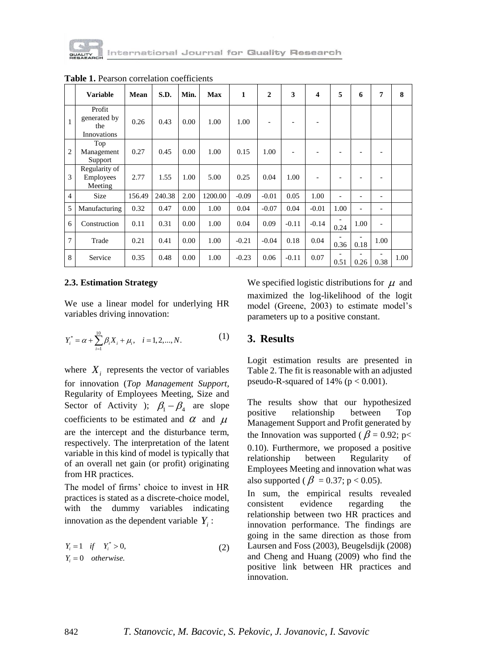

|                | <b>Variable</b>                              | Mean   | S.D.   | Min. | Max     | $\mathbf{1}$ | $\mathbf{2}$ | 3       | 4       | 5    | 6    | 7    | 8    |
|----------------|----------------------------------------------|--------|--------|------|---------|--------------|--------------|---------|---------|------|------|------|------|
|                | Profit<br>generated by<br>the<br>Innovations | 0.26   | 0.43   | 0.00 | 1.00    | 1.00         |              |         |         |      |      |      |      |
| $\overline{c}$ | Top<br>Management<br>Support                 | 0.27   | 0.45   | 0.00 | 1.00    | 0.15         | 1.00         |         |         |      |      | ٠    |      |
| 3              | Regularity of<br><b>Employees</b><br>Meeting | 2.77   | 1.55   | 1.00 | 5.00    | 0.25         | 0.04         | 1.00    |         |      |      | ۰    |      |
| $\overline{4}$ | <b>Size</b>                                  | 156.49 | 240.38 | 2.00 | 1200.00 | $-0.09$      | $-0.01$      | 0.05    | 1.00    | ÷    |      | ۰    |      |
| 5              | Manufacturing                                | 0.32   | 0.47   | 0.00 | 1.00    | 0.04         | $-0.07$      | 0.04    | $-0.01$ | 1.00 | ٠    | ۰    |      |
| 6              | Construction                                 | 0.11   | 0.31   | 0.00 | 1.00    | 0.04         | 0.09         | $-0.11$ | $-0.14$ | 0.24 | 1.00 | ٠    |      |
| 7              | Trade                                        | 0.21   | 0.41   | 0.00 | 1.00    | $-0.21$      | $-0.04$      | 0.18    | 0.04    | 0.36 | 0.18 | 1.00 |      |
| 8              | Service                                      | 0.35   | 0.48   | 0.00 | 1.00    | $-0.23$      | 0.06         | $-0.11$ | 0.07    | 0.51 | 0.26 | 0.38 | 1.00 |

**Table 1.** Pearson correlation coefficients

#### **2.3. Estimation Strategy**

We use a linear model for underlying HR variables driving innovation:

$$
Y_i^* = \alpha + \sum_{i=1}^{10} \beta_i X_i + \mu_i, \quad i = 1, 2, ..., N.
$$
 (1)

where  $X_i$  represents the vector of variables for innovation (*Top Management Support,* Regularity of Employees Meeting, Size and Sector of Activity );  $\beta_1 - \beta_4$  are slope coefficients to be estimated and  $\alpha$  and  $\mu$ are the intercept and the disturbance term, respectively. The interpretation of the latent variable in this kind of model is typically that of an overall net gain (or profit) originating from HR practices.

The model of firms' choice to invest in HR practices is stated as a discrete-choice model, with the dummy variables indicating innovation as the dependent variable  $Y_i$ :

$$
Y_i = 1 \tif \t Y_i^* > 0,
$$
  
\n
$$
Y_i = 0 \totherwise.
$$
\n(2)

We specified logistic distributions for  $\mu$  and maximized the log-likelihood of the logit model (Greene, 2003) to estimate model's parameters up to a positive constant.

#### **3. Results**

Logit estimation results are presented in Table 2. The fit is reasonable with an adjusted pseudo-R-squared of 14% ( $p < 0.001$ ).

The results show that our hypothesized positive relationship between Top Management Support and Profit generated by the Innovation was supported ( $\beta$  = 0.92; p< 0.10). Furthermore, we proposed a positive relationship between Regularity of Employees Meeting and innovation what was also supported ( $\beta = 0.37; p < 0.05$ ).

In sum, the empirical results revealed consistent evidence regarding the relationship between two HR practices and innovation performance. The findings are going in the same direction as those from Laursen and Foss (2003), Beugelsdijk (2008) and Cheng and Huang (2009) who find the positive link between HR practices and innovation.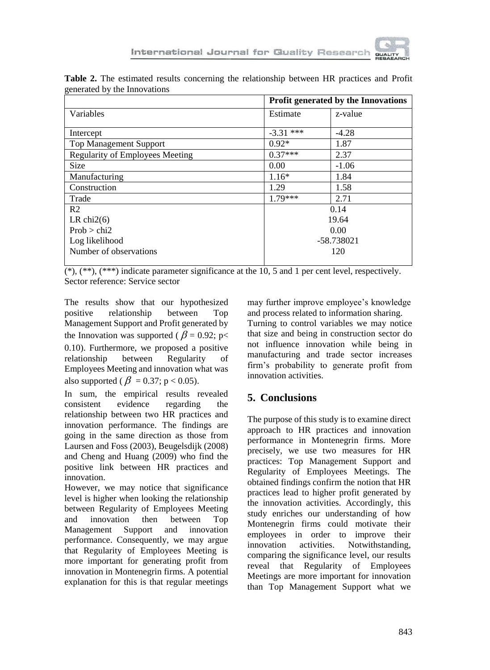

| generated by the millovations          | Profit generated by the Innovations |            |  |  |  |  |
|----------------------------------------|-------------------------------------|------------|--|--|--|--|
| Variables                              | Estimate                            | z-value    |  |  |  |  |
| Intercept                              | $-3.31$ ***                         | $-4.28$    |  |  |  |  |
| <b>Top Management Support</b>          | $0.92*$                             | 1.87       |  |  |  |  |
| <b>Regularity of Employees Meeting</b> | $0.37***$                           | 2.37       |  |  |  |  |
| <b>Size</b>                            | 0.00                                | $-1.06$    |  |  |  |  |
| Manufacturing                          | $1.16*$                             | 1.84       |  |  |  |  |
| Construction                           | 1.29                                | 1.58       |  |  |  |  |
| Trade                                  | $1.79***$                           | 2.71       |  |  |  |  |
| R <sub>2</sub>                         | 0.14                                |            |  |  |  |  |
| LR chi $2(6)$                          | 19.64                               |            |  |  |  |  |
| Prob > chi2                            | 0.00                                |            |  |  |  |  |
| Log likelihood                         |                                     | -58.738021 |  |  |  |  |
| Number of observations                 |                                     | 120        |  |  |  |  |

**Table 2.** The estimated results concerning the relationship between HR practices and Profit generated by the Innovations

 $(*), (**,(**)$  indicate parameter significance at the 10, 5 and 1 per cent level, respectively. Sector reference: Service sector

The results show that our hypothesized positive relationship between Top Management Support and Profit generated by the Innovation was supported ( $\beta$  = 0.92; p< 0.10). Furthermore, we proposed a positive relationship between Regularity of Employees Meeting and innovation what was also supported ( $\beta = 0.37$ ; p < 0.05).

In sum, the empirical results revealed consistent evidence regarding the relationship between two HR practices and innovation performance. The findings are going in the same direction as those from Laursen and Foss (2003), Beugelsdijk (2008) and Cheng and Huang (2009) who find the positive link between HR practices and innovation.

However, we may notice that significance level is higher when looking the relationship between Regularity of Employees Meeting and innovation then between Top Management Support and innovation performance. Consequently, we may argue that Regularity of Employees Meeting is more important for generating profit from innovation in Montenegrin firms. A potential explanation for this is that regular meetings

may further improve employee's knowledge and process related to information sharing.

Turning to control variables we may notice that size and being in construction sector do not influence innovation while being in manufacturing and trade sector increases firm's probability to generate profit from innovation activities.

## **5. Conclusions**

The purpose of this study is to examine direct approach to HR practices and innovation performance in Montenegrin firms. More precisely, we use two measures for HR practices: Top Management Support and Regularity of Employees Meetings. The obtained findings confirm the notion that HR practices lead to higher profit generated by the innovation activities. Accordingly, this study enriches our understanding of how Montenegrin firms could motivate their employees in order to improve their innovation activities. Notwithstanding, comparing the significance level, our results reveal that Regularity of Employees Meetings are more important for innovation than Top Management Support what we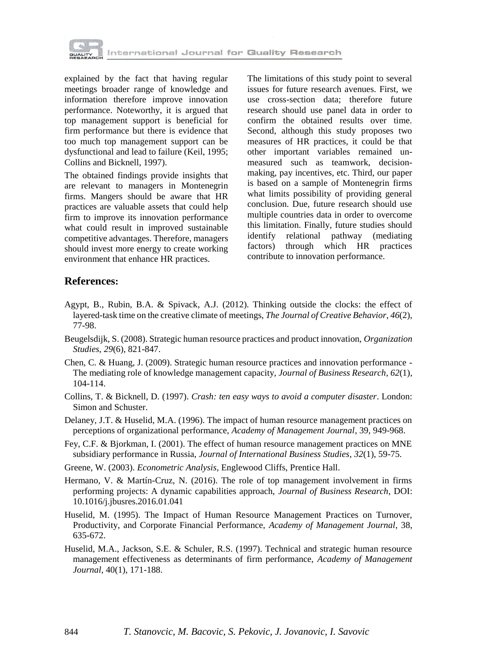

explained by the fact that having regular meetings broader range of knowledge and information therefore improve innovation performance. Noteworthy, it is argued that top management support is beneficial for firm performance but there is evidence that too much top management support can be dysfunctional and lead to failure (Keil, 1995; Collins and Bicknell, 1997).

The obtained findings provide insights that are relevant to managers in Montenegrin firms. Mangers should be aware that HR practices are valuable assets that could help firm to improve its innovation performance what could result in improved sustainable competitive advantages. Therefore, managers should invest more energy to create working environment that enhance HR practices.

The limitations of this study point to several issues for future research avenues. First, we use cross-section data; therefore future research should use panel data in order to confirm the obtained results over time. Second, although this study proposes two measures of HR practices, it could be that other important variables remained unmeasured such as teamwork, decisionmaking, pay incentives, etc. Third, our paper is based on a sample of Montenegrin firms what limits possibility of providing general conclusion. Due, future research should use multiple countries data in order to overcome this limitation. Finally, future studies should identify relational pathway (mediating factors) through which HR practices contribute to innovation performance.

### **References:**

- Agypt, B., Rubin, B.A. & Spivack, A.J. (2012). Thinking outside the clocks: the effect of layered-task time on the creative climate of meetings, *The Journal of Creative Behavior*, *46*(2), 77-98.
- Beugelsdijk, S. (2008). Strategic human resource practices and product innovation, *Organization Studies*, *29*(6), 821-847.
- Chen, C. & Huang, J. (2009). Strategic human resource practices and innovation performance The mediating role of knowledge management capacity, *Journal of Business Research*, *62*(1), 104-114.
- Collins, T. & Bicknell, D. (1997). *Crash: ten easy ways to avoid a computer disaster*. London: Simon and Schuster.
- Delaney, J.T. & Huselid, M.A. (1996). The impact of human resource management practices on perceptions of organizational performance, *Academy of Management Journal*, 39, 949-968.
- Fey, C.F. & Bjorkman, I. (2001). The effect of human resource management practices on MNE subsidiary performance in Russia, *Journal of International Business Studies*, *32*(1), 59-75.
- Greene, W. (2003). *Econometric Analysis*, Englewood Cliffs, Prentice Hall.
- Hermano, V. & Martín-Cruz, N. (2016). The role of top management involvement in firms performing projects: A dynamic capabilities approach, *Journal of Business Research*, DOI: 10.1016/j.jbusres.2016.01.041
- Huselid, M. (1995). The Impact of Human Resource Management Practices on Turnover, Productivity, and Corporate Financial Performance, *Academy of Management Journal*, 38, 635-672.
- Huselid, M.A., Jackson, S.E. & Schuler, R.S. (1997). Technical and strategic human resource management effectiveness as determinants of firm performance, *Academy of Management Journal*, 40(1), 171-188.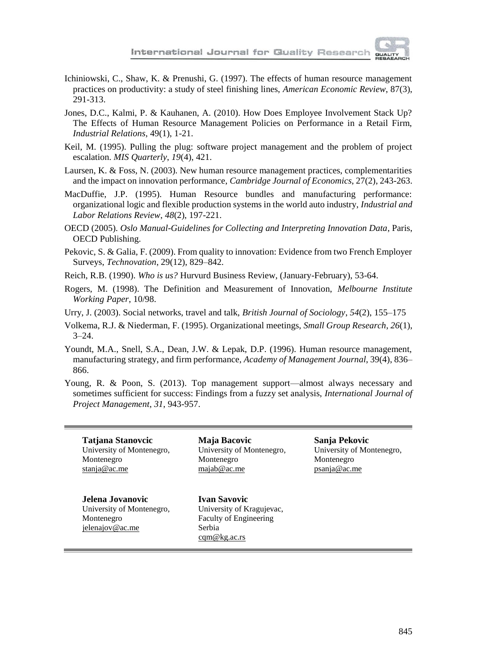

- Ichiniowski, C., Shaw, K. & Prenushi, G. (1997). The effects of human resource management practices on productivity: a study of steel finishing lines, *American Economic Review*, 87(3), 291-313.
- Jones, D.C., Kalmi, P. & Kauhanen, A. (2010). How Does Employee Involvement Stack Up? The Effects of Human Resource Management Policies on Performance in a Retail Firm, *Industrial Relations*, 49(1), 1-21.
- Keil, M. (1995). Pulling the plug: software project management and the problem of project escalation. *MIS Quarterly*, *19*(4), 421.
- Laursen, K. & Foss, N. (2003). New human resource management practices, complementarities and the impact on innovation performance, *Cambridge Journal of Economics*, 27(2), 243-263.
- MacDuffie, J.P. (1995). Human Resource bundles and manufacturing performance: organizational logic and flexible production systems in the world auto industry, *Industrial and Labor Relations Review*, *48*(2), 197-221.
- OECD (2005). *Oslo Manual-Guidelines for Collecting and Interpreting Innovation Data*, Paris, OECD Publishing.
- Pekovic, S. & Galia, F. (2009). From quality to innovation: Evidence from two French Employer Surveys, *Technovation*, 29(12), 829–842.
- Reich, R.B. (1990). *Who is us?* Hurvurd Business Review, (January-February), 53-64.
- Rogers, M. (1998). The Definition and Measurement of Innovation, *Melbourne Institute Working Paper*, 10/98.
- Urry, J. (2003). Social networks, travel and talk, *British Journal of Sociology*, *54*(2), 155–175
- Volkema, R.J. & Niederman, F. (1995). Organizational meetings, *Small Group Research*, *26*(1),  $3 - 24.$
- Youndt, M.A., Snell, S.A., Dean, J.W. & Lepak, D.P. (1996). Human resource management, manufacturing strategy, and firm performance, *Academy of Management Journal*, 39(4), 836– 866.
- Young, R. & Poon, S. (2013). Top management support—almost always necessary and sometimes sufficient for success: Findings from a fuzzy set analysis, *International Journal of Project Management*, *31*, 943-957.

**Tatjana Stanovcic** University of Montenegro, Montenegro [stanja@ac.me](mailto:stanja@ac.me)

**Jelena Jovanovic**

University of Montenegro, Montenegro [jelenajov@ac.me](mailto:jelenajov@ac.me)

**Maja Bacovic** University of Montenegro, Montenegro [majab@ac.me](mailto:majab@ac.me)

**Sanja Pekovic** University of Montenegro, Montenegro [psanja@ac.me](mailto:psanja@ac.me)

**Ivan Savovic** University of Kragujevac, Faculty of Engineering Serbia [cqm@kg.ac.rs](mailto:cqm@kg.ac.rs)

845